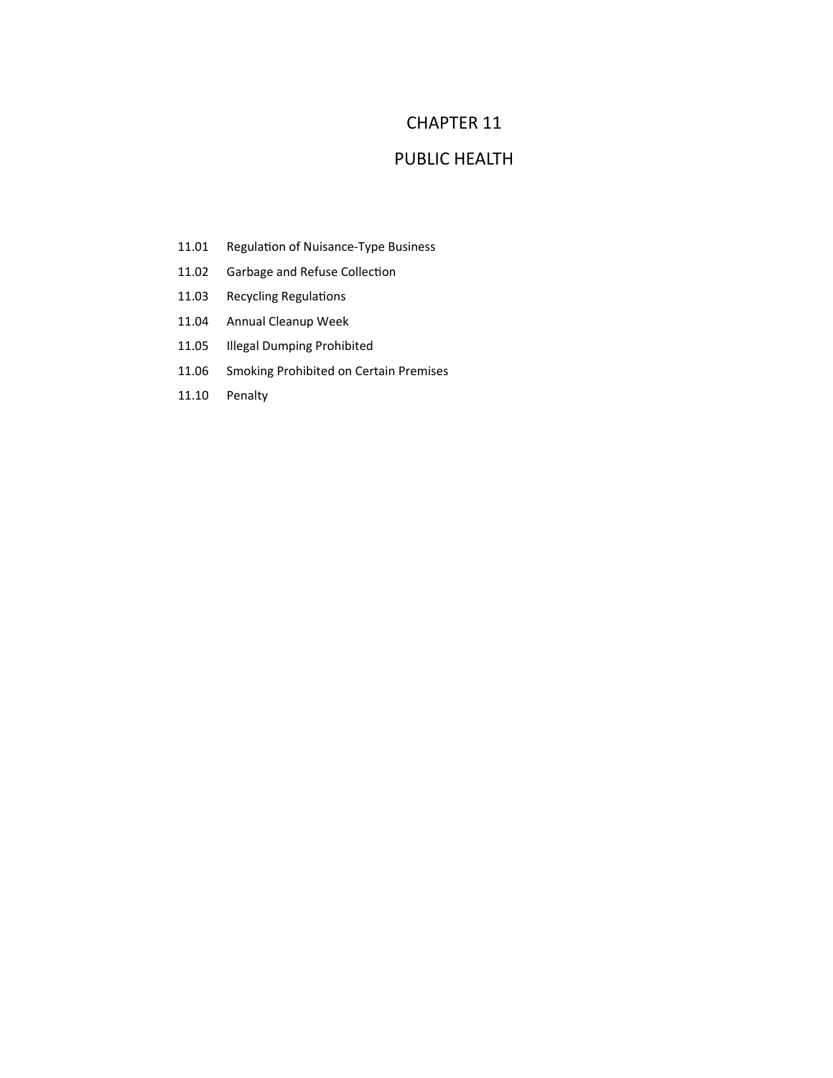## CHAPTER 11

## PUBLIC HEALTH

- 11.01 Regulation of Nuisance-Type Business
- 11.02 Garbage and Refuse Collection
- 11.03 Recycling Regulations
- 11.04 Annual Cleanup Week
- 11.05 Illegal Dumping Prohibited
- 11.06 Smoking Prohibited on Certain Premises
- 11.10 Penalty